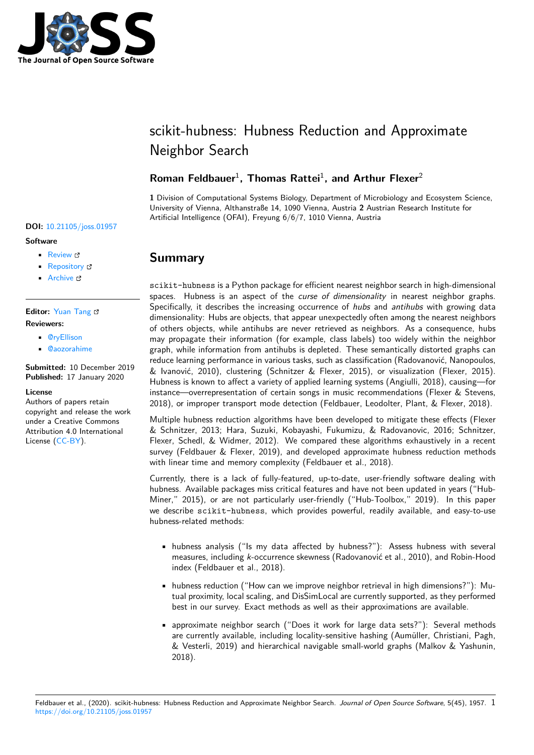

# scikit-hubness: Hubness Reduction and Approximate Neighbor Search

### Roman Feldbauer<sup>1</sup>, Thomas Rattei<sup>1</sup>, and Arthur Flexer<sup>2</sup>

**1** Division of Computational Systems Biology, Department of Microbiology and Ecosystem Science, University of Vienna, Althanstraße 14, 1090 Vienna, Austria **2** Austrian Research Institute for Artificial Intelligence (OFAI), Freyung 6/6/7, 1010 Vienna, Austria

### **Summary**

scikit-hubness is a Python package for efficient nearest neighbor search in high-dimensional spaces. Hubness is an aspect of the *curse of dimensionality* in nearest neighbor graphs. Specifically, it describes the increasing occurrence of *hubs* and *antihubs* with growing data dimensionality: Hubs are objects, that appear unexpectedly often among the nearest neighbors of others objects, while antihubs are never retrieved as neighbors. As a consequence, hubs may propagate their information (for example, class labels) too widely within the neighbor graph, while information from antihubs is depleted. These semantically distorted graphs can reduce learning performance in various tasks, such as classification (Radovanović, Nanopoulos, & Ivanović, 2010), clustering (Schnitzer & Flexer, 2015), or visualization (Flexer, 2015). Hubness is known to affect a variety of applied learning systems (Angiulli, 2018), causing—for instance—overrepresentation of certain songs in music recommendations (Flexer & Stevens, 2018), or improper transport mode detection (Feldbauer, Leodolter, Plant, & Flexer, 2018).

Multiple hubness reduction algorithms have been developed to mitigate these effects (Flexer & Schnitzer, 2013; Hara, Suzuki, Kobayashi, Fukumizu, & Radovanovic, 2016; Schnitzer, Flexer, Schedl, & Widmer, 2012). We compared these algorithms exhaustively in a recent survey (Feldbauer & Flexer, 2019), and developed approximate hubness reduction methods with linear time and memory complexity (Feldbauer et al., 2018).

Currently, there is a lack of fully-featured, up-to-date, user-friendly software dealing with hubness. Available packages miss critical features and have not been updated in years ("Hub-Miner," 2015), or are not particularly user-friendly ("Hub-Toolbox," 2019). In this paper we describe scikit-hubness, which provides powerful, readily available, and easy-to-use hubness-related methods:

- hubness analysis ("Is my data affected by hubness?"): Assess hubness with several measures, including *k*-occurrence skewness (Radovanović et al., 2010), and Robin-Hood index (Feldbauer et al., 2018).
- hubness reduction ("How can we improve neighbor retrieval in high dimensions?"): Mutual proximity, local scaling, and DisSimLocal are currently supported, as they performed best in our survey. Exact methods as well as their approximations are available.
- approximate neighbor search ("Does it work for large data sets?"): Several methods are currently available, including locality-sensitive hashing (Aumüller, Christiani, Pagh, & Vesterli, 2019) and hierarchical navigable small-world graphs (Malkov & Yashunin, 2018).

#### **DOI:** 10.21105/joss.01957

#### **Software**

- Review C
- [Repository](https://doi.org/10.21105/joss.01957) &
- Archive

#### **Editor:** [Yuan Tan](https://github.com/VarIr/scikit-hubness/)g **Revie[wers:](https://doi.org/10.5281/zenodo.3607202)**

- @ryEllison
- @[aozorahime](https://terrytangyuan.github.io/about/)

**Submitted:** 10 December 2019 **Publi[shed:](https://github.com/ryEllison)** 17 January 2020

#### **License**

Autho[rs of papers re](https://github.com/aozorahime)tain copyright and release the work under a Creative Commons Attribution 4.0 International License (CC-BY).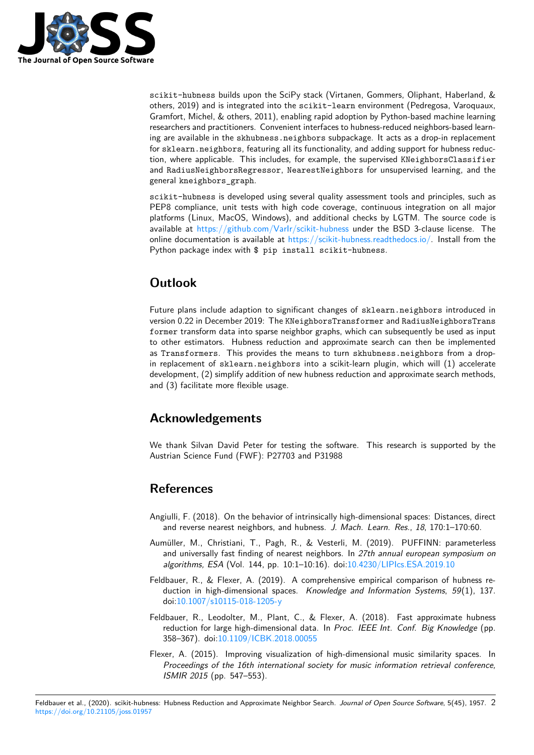

scikit-hubness builds upon the SciPy stack (Virtanen, Gommers, Oliphant, Haberland, & others, 2019) and is integrated into the scikit-learn environment (Pedregosa, Varoquaux, Gramfort, Michel, & others, 2011), enabling rapid adoption by Python-based machine learning researchers and practitioners. Convenient interfaces to hubness-reduced neighbors-based learning are available in the skhubness.neighbors subpackage. It acts as a drop-in replacement for sklearn.neighbors, featuring all its functionality, and adding support for hubness reduction, where applicable. This includes, for example, the supervised KNeighborsClassifier and RadiusNeighborsRegressor, NearestNeighbors for unsupervised learning, and the general kneighbors\_graph.

scikit-hubness is developed using several quality assessment tools and principles, such as PEP8 compliance, unit tests with high code coverage, continuous integration on all major platforms (Linux, MacOS, Windows), and additional checks by LGTM. The source code is available at  $\frac{https://github.com/Varlr/scikit-hubness}$  under the BSD 3-clause license. The online documentation is available at https://scikit-hubness.readthedocs.io/. Install from the Python package index with \$ pip install scikit-hubness.

# **Outloo[k](https://github.com/VarIr/scikit-hubness)**

Future plans include adaption to significant changes of sklearn.neighbors introduced in version 0.22 in December 2019: The KNeighborsTransformer and RadiusNeighborsTrans former transform data into sparse neighbor graphs, which can subsequently be used as input to other estimators. Hubness reduction and approximate search can then be implemented as Transformers. This provides the means to turn skhubness.neighbors from a dropin replacement of sklearn.neighbors into a scikit-learn plugin, which will (1) accelerate development, (2) simplify addition of new hubness reduction and approximate search methods, and (3) facilitate more flexible usage.

## **Acknowledgements**

We thank Silvan David Peter for testing the software. This research is supported by the Austrian Science Fund (FWF): P27703 and P31988

## **References**

- Angiulli, F. (2018). On the behavior of intrinsically high-dimensional spaces: Distances, direct and reverse nearest neighbors, and hubness. *J. Mach. Learn. Res.*, *18*, 170:1–170:60.
- Aumüller, M., Christiani, T., Pagh, R., & Vesterli, M. (2019). PUFFINN: parameterless and universally fast finding of nearest neighbors. In *27th annual european symposium on algorithms, ESA* (Vol. 144, pp. 10:1–10:16). doi:10.4230/LIPIcs.ESA.2019.10
- Feldbauer, R., & Flexer, A. (2019). A comprehensive empirical comparison of hubness reduction in high-dimensional spaces. *Knowledge and Information Systems*, *59*(1), 137. doi:10.1007/s10115-018-1205-y
- Feldbauer, R., Leodolter, M., Plant, C., & Flexer, [A. \(2018\). Fast approxima](https://doi.org/10.4230/LIPIcs.ESA.2019.10)te hubness reduction for large high-dimensional data. In *Proc. IEEE Int. Conf. Big Knowledge* (pp. 358[–367\). doi:10.1109/ICBK.20](https://doi.org/10.1007/s10115-018-1205-y)18.00055
- Flexer, A. (2015). Improving visualization of high-dimensional music similarity spaces. In *Proceedings of the 16th international society for music information retrieval conference, ISMIR 2015* ([pp. 547–553\).](https://doi.org/10.1109/ICBK.2018.00055)